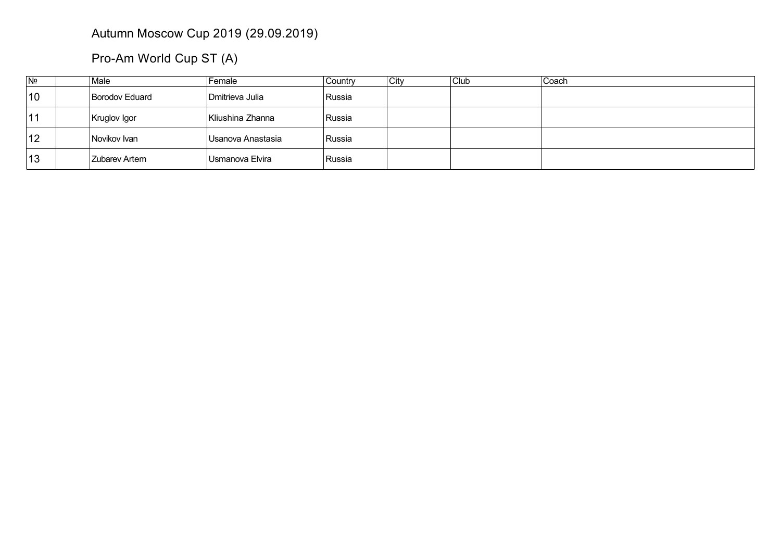## Autumn Moscow Cup 2019 (29.09.2019)

Pro-Am World Cup ST (A)

| N <sub>2</sub> | Male                 | Female            | Country | City | Club | Coach |
|----------------|----------------------|-------------------|---------|------|------|-------|
| 10             | Borodov Eduard       | Dmitrieva Julia   | Russia  |      |      |       |
| 11             | Kruglov Igor         | Kliushina Zhanna  | ∣Russia |      |      |       |
| 12             | Novikov Ivan         | Usanova Anastasia | ∣Russia |      |      |       |
| 13             | <b>Zubarev Artem</b> | 'Usmanova Elvira  | Russia  |      |      |       |